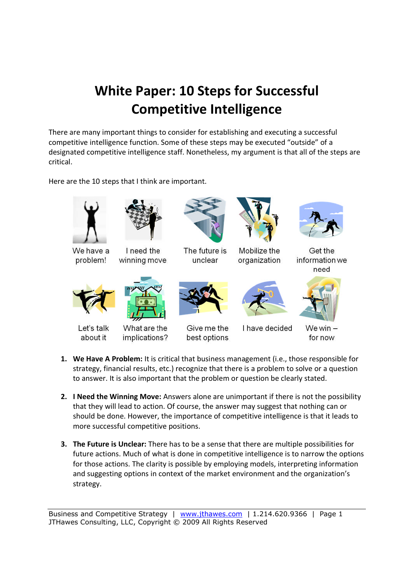## **White Paper: 10 Steps for Successful Competitive Intelligence**

There are many important things to consider for establishing and executing a successful competitive intelligence function. Some of these steps may be executed "outside" of a designated competitive intelligence staff. Nonetheless, my argument is that all of the steps are critical.

Here are the 10 steps that I think are important.





We have a problem!





The future is unclear



Mobilize the organization



Get the information we need



Let's talk

about it



What are the implications?



Give me the best options



I have decided



We win  $$ for now

- **1. We Have A Problem:** It is critical that business management (i.e., those responsible for strategy, financial results, etc.) recognize that there is a problem to solve or a question to answer. It is also important that the problem or question be clearly stated.
- **2. I Need the Winning Move:** Answers alone are unimportant if there is not the possibility that they will lead to action. Of course, the answer may suggest that nothing can or should be done. However, the importance of competitive intelligence is that it leads to more successful competitive positions.
- **3. The Future is Unclear:** There has to be a sense that there are multiple possibilities for future actions. Much of what is done in competitive intelligence is to narrow the options for those actions. The clarity is possible by employing models, interpreting information and suggesting options in context of the market environment and the organization's strategy.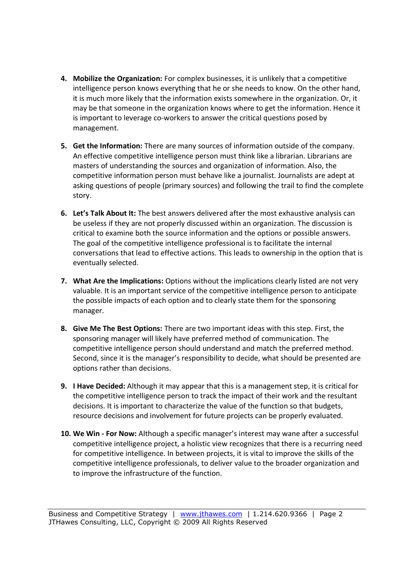- **4. Mobilize the Organization:** For complex businesses, it is unlikely that a competitive intelligence person knows everything that he or she needs to know. On the other hand, it is much more likely that the information exists somewhere in the organization. Or, it may be that someone in the organization knows where to get the information. Hence it is important to leverage co-workers to answer the critical questions posed by management.
- **5. Get the Information:** There are many sources of information outside of the company. An effective competitive intelligence person must think like a librarian. Librarians are masters of understanding the sources and organization of information. Also, the competitive information person must behave like a journalist. Journalists are adept at asking questions of people (primary sources) and following the trail to find the complete story.
- **6. Let's Talk About It:** The best answers delivered after the most exhaustive analysis can be useless if they are not properly discussed within an organization. The discussion is critical to examine both the source information and the options or possible answers. The goal of the competitive intelligence professional is to facilitate the internal conversations that lead to effective actions. This leads to ownership in the option that is eventually selected.
- **7. What Are the Implications:** Options without the implications clearly listed are not very valuable. It is an important service of the competitive intelligence person to anticipate the possible impacts of each option and to clearly state them for the sponsoring manager.
- **8. Give Me The Best Options:** There are two important ideas with this step. First, the sponsoring manager will likely have preferred method of communication. The competitive intelligence person should understand and match the preferred method. Second, since it is the manager's responsibility to decide, what should be presented are options rather than decisions.
- **9. I Have Decided:** Although it may appear that this is a management step, it is critical for the competitive intelligence person to track the impact of their work and the resultant decisions. It is important to characterize the value of the function so that budgets, resource decisions and involvement for future projects can be properly evaluated.
- **10. We Win For Now:** Although a specific manager's interest may wane after a successful competitive intelligence project, a holistic view recognizes that there is a recurring need for competitive intelligence. In between projects, it is vital to improve the skills of the competitive intelligence professionals, to deliver value to the broader organization and to improve the infrastructure of the function.